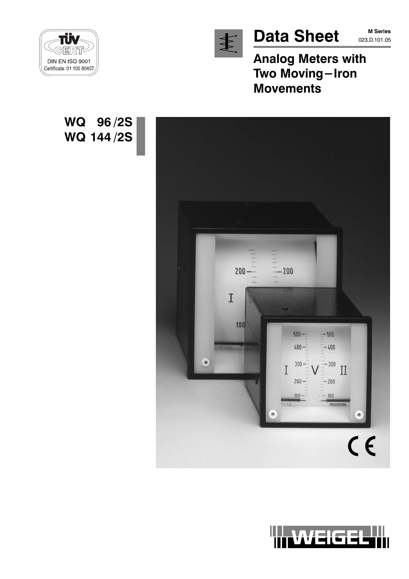

**Data Sheet** 

**Analog Meters with** Two Moving-Iron **Movements** 



WQ 96/2S

WQ 144/2S



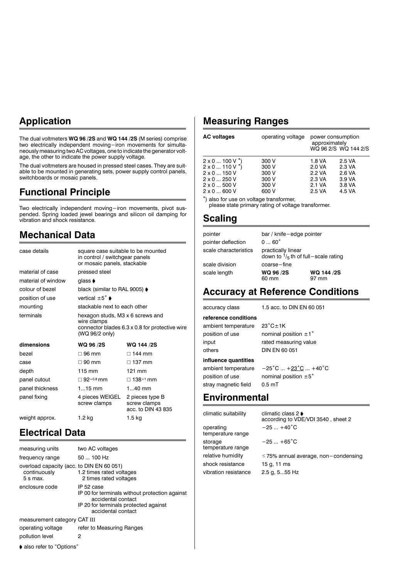## **Application**

The dual voltmeters WQ 96 /2S and WQ 144 /2S (M series) comprise two electrically independent moving-iron movements for simultaneously measuring two AC voltages, one to indicate the generator voltage, the other to indicate the power supply voltage.

The dual voltmeters are housed in pressed steel cases. They are suitable to be mounted in generating sets, power supply control panels, switchboards or mosaic panels.

### **Functional Principle**

Two electrically independent moving-iron movements, pivot susmoded. Spring loaded jewel bearings and silicon oil damping for<br>vibration and shock resistance.

## **Mechanical Data**

| case details       | square case suitable to be mounted<br>in control / switchgear panels<br>or mosaic panels, stackable |                                                       |
|--------------------|-----------------------------------------------------------------------------------------------------|-------------------------------------------------------|
| material of case   | pressed steel                                                                                       |                                                       |
| material of window | glass ♦                                                                                             |                                                       |
| colour of bezel    | black (similar to RAL 9005) ♦                                                                       |                                                       |
| position of use    | vertical $\pm 5^{\circ}$ $\bullet$                                                                  |                                                       |
| mounting           | stackable next to each other                                                                        |                                                       |
| terminals          | hexagon studs, M3 x 6 screws and<br>wire clamps<br>(WQ 96/2 only)                                   | connector blades $6.3 \times 0.8$ for protective wire |
| dimensions         | WQ 96 /2S                                                                                           | WQ 144 /2S                                            |
| bezel              | $\Box$ 96 mm                                                                                        | $\sqcap$ 144 mm                                       |
| case               | $\Box$ 90 mm                                                                                        | □ 137 mm                                              |
| depth              | $115 \text{ mm}$                                                                                    | 121 mm                                                |
| panel cutout       | $\Box$ 92+0.8 mm                                                                                    | □ 138+1 mm                                            |
| panel thickness    | $115$ mm                                                                                            | $140$ mm                                              |
| panel fixing       | 4 pieces WEIGEL<br>screw clamps                                                                     | 2 pieces type B<br>screw clamps<br>acc. to DIN 43 835 |
| weight approx.     | 1.2 kg                                                                                              | 1.5 kg                                                |

### **Electrical Data**

| measuring units                                                       | two AC voltages                                                                                                                                   |
|-----------------------------------------------------------------------|---------------------------------------------------------------------------------------------------------------------------------------------------|
| frequency range                                                       | 50  100 Hz                                                                                                                                        |
| overload capacity (acc. to DIN EN 60 051)<br>continuously<br>5 s max. | 1.2 times rated voltages<br>2 times rated voltages                                                                                                |
| enclosure code                                                        | IP 52 case<br>IP 00 for terminals without protection against<br>accidental contact<br>IP 20 for terminals protected against<br>accidental contact |
| measurement category CAT III                                          |                                                                                                                                                   |
| operating voltage                                                     | refer to Measuring Ranges                                                                                                                         |
| pollution level                                                       | 2                                                                                                                                                 |
| • also refer to "Options"                                             |                                                                                                                                                   |

## **Measuring Ranges**

| <b>AC voltages</b>                | operating voltage | power consumption<br>approximately | WQ 96 2/S WQ 144 2/S |
|-----------------------------------|-------------------|------------------------------------|----------------------|
| $2 \times 0$ 100 V $\check{ }$ )  | 300 V             | 1.8 VA                             | 2.5 VA               |
| $2 \times 0$ 110 V $\check{\ }$ ) | 300 V             | 2.0 VA                             | 2.3 VA               |
| $2 \times 0$ 150 V                | 300 V             | 2.2 VA                             | 2.6 VA               |
| $2 \times 0$ 250 V                | 300 V             | 2.3 VA                             | 3.9 VA               |
| $2 \times 0$ 500 V                | 300 V             | 2.1 VA                             | 3.8 VA               |
| $2 \times 0$ 600 V                | 600 V             | 2.5 VA                             | 4.5 VA               |
|                                   |                   |                                    |                      |

\*) also for use on voltage transformer,

please state primary rating of voltage transformer.

### **Scaling**

| pointer               | bar / knife-edge pointer                                            |                     |
|-----------------------|---------------------------------------------------------------------|---------------------|
| pointer deflection    | $060^{\circ}$                                                       |                     |
| scale characteristics | practically linear<br>down to $\frac{1}{5}$ th of full-scale rating |                     |
| scale division        | coarse-fine                                                         |                     |
| scale length          | WQ 96 /2S<br>60 mm                                                  | WQ 144 /2S<br>97 mm |

### **Accuracy at Reference Conditions**

accuracy class

reference conditions

ambient temperature position of use input others

 $23^{\circ}$ C $\pm$ 1K nominal position  $\pm 1$ ° rated measuring value DIN EN 60 051

1.5 acc. to DIN FN 60.051

### influence quantities

ambient temperature  $-25^{\circ}$ C ...  $+23^{\circ}$ C ...  $+40^{\circ}$ C position of use nominal position  $\pm 5^{\circ}$ stray magnetic field  $0.5<sub>mT</sub>$ 

### **Environmental**

| climatic suitability           | climatic class 2 ♦<br>according to VDE/VDI 3540, sheet 2 |
|--------------------------------|----------------------------------------------------------|
| operating<br>temperature range | $-25+40^{\circ}C$                                        |
| storage<br>temperature range   | $-25+65^{\circ}C$                                        |
| relative humidity              | $\leq$ 75% annual average, non-condensing                |
| shock resistance               | 15 g, 11 ms                                              |
| vibration resistance           | 2.5 g, 555 Hz                                            |
|                                |                                                          |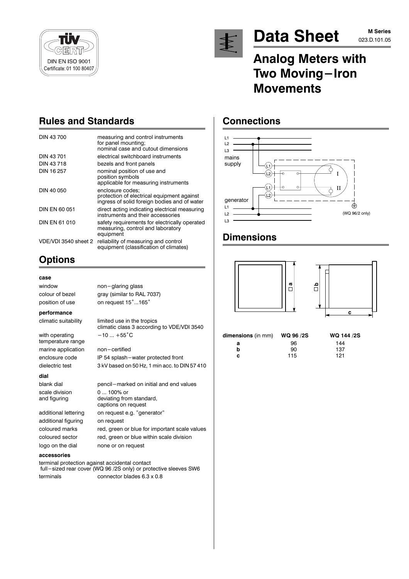



# **Data Sheet**

# **Analog Meters with** Two Moving-Iron **Movements**

## **Rules and Standards**

| DIN 43 700           | measuring and control instruments<br>for panel mounting;<br>nominal case and cutout dimensions                 |
|----------------------|----------------------------------------------------------------------------------------------------------------|
| DIN 43 701           | electrical switchboard instruments                                                                             |
| DIN 43718            | bezels and front panels                                                                                        |
| DIN 16 257           | nominal position of use and<br>position symbols<br>applicable for measuring instruments                        |
| DIN 40 050           | enclosure codes:<br>protection of electrical equipment against<br>ingress of solid foreign bodies and of water |
| DIN EN 60 051        | direct acting indicating electrical measuring<br>instruments and their accessories                             |
| <b>DIN EN 61 010</b> | safety requirements for electrically operated<br>measuring, control and laboratory<br>equipment                |
| VDE/VDI 3540 sheet 2 | reliability of measuring and control<br>equipment (classification of climates)                                 |

non-glaring glass

 $-10...+55^{\circ}C$ 

non-certified

0 ... 100% or

on request

deviating from standard, captions on request

on request e.g. "generator"

gray (similar to RAL 7037)

limited use in the tropics

climatic class 3 according to VDE/VDI 3540

3 kV based on 50 Hz. 1 min acc. to DIN 57 410

red, green or blue for important scale values

red, green or blue within scale division

pencil-marked on initial and end values

IP 54 splash-water protected front

on request 15°...165°

## **Options**

### case

window colour of bezel position of use

#### performance

climatic suitability

with operating temperature range marine application enclosure code dielectric test

#### dial

blank dial scale division and figuring

additional lettering additional figuring coloured marks coloured sector logo on the dial

#### accessories

terminal protection against accidental contact full-sized rear cover (WQ 96 /2S only) or protective sleeves SW6 terminals connector blades 6.3 x 0.8

none or on request

# **Connections**



## **Dimensions**



| dimensions (in mm) | WQ 96 /2S |
|--------------------|-----------|
| а                  | 96        |
| b                  | 90        |
| с                  | 115       |

WQ 144 /2S 144 137  $121$